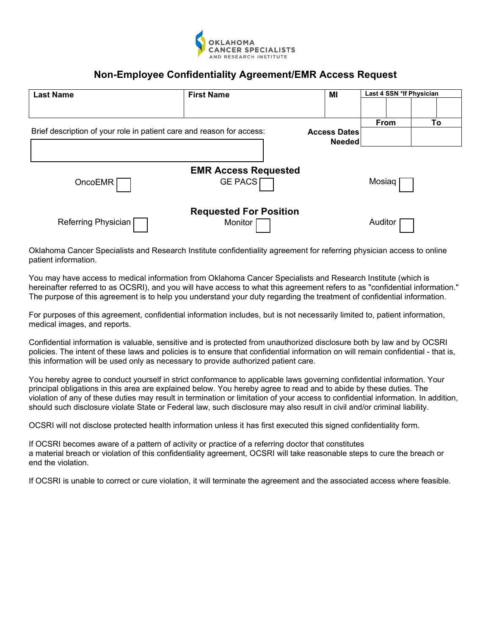

# **Non-Employee Confidentiality Agreement/EMR Access Request**

| <b>Last Name</b>                                                                             | <b>First Name</b>             | MI            | Last 4 SSN *If Physician |  |  |  |
|----------------------------------------------------------------------------------------------|-------------------------------|---------------|--------------------------|--|--|--|
|                                                                                              |                               |               |                          |  |  |  |
|                                                                                              |                               |               | To<br>From               |  |  |  |
| Brief description of your role in patient care and reason for access:<br><b>Access Dates</b> |                               |               |                          |  |  |  |
|                                                                                              |                               | <b>Needed</b> |                          |  |  |  |
|                                                                                              |                               |               |                          |  |  |  |
|                                                                                              | <b>EMR Access Requested</b>   |               |                          |  |  |  |
| OncoEMR                                                                                      | <b>GE PACS</b>                |               | Mosiaq <sup>1</sup>      |  |  |  |
|                                                                                              |                               |               |                          |  |  |  |
|                                                                                              | <b>Requested For Position</b> |               |                          |  |  |  |
| Referring Physician                                                                          | <b>Monitor</b>                |               | Auditor                  |  |  |  |

Oklahoma Cancer Specialists and Research Institute confidentiality agreement for referring physician access to online patient information.

You may have access to medical information from Oklahoma Cancer Specialists and Research Institute (which is hereinafter referred to as OCSRI), and you will have access to what this agreement refers to as "confidential information." The purpose of this agreement is to help you understand your duty regarding the treatment of confidential information.

For purposes of this agreement, confidential information includes, but is not necessarily limited to, patient information, medical images, and reports.

Confidential information is valuable, sensitive and is protected from unauthorized disclosure both by law and by OCSRI policies. The intent of these laws and policies is to ensure that confidential information on will remain confidential - that is, this information will be used only as necessary to provide authorized patient care.

You hereby agree to conduct yourself in strict conformance to applicable laws governing confidential information. Your principal obligations in this area are explained below. You hereby agree to read and to abide by these duties. The violation of any of these duties may result in termination or limitation of your access to confidential information. In addition, should such disclosure violate State or Federal law, such disclosure may also result in civil and/or criminal liability.

OCSRI will not disclose protected health information unless it has first executed this signed confidentiality form.

If OCSRI becomes aware of a pattern of activity or practice of a referring doctor that constitutes a material breach or violation of this confidentiality agreement, OCSRI will take reasonable steps to cure the breach or end the violation.

If OCSRI is unable to correct or cure violation, it will terminate the agreement and the associated access where feasible.